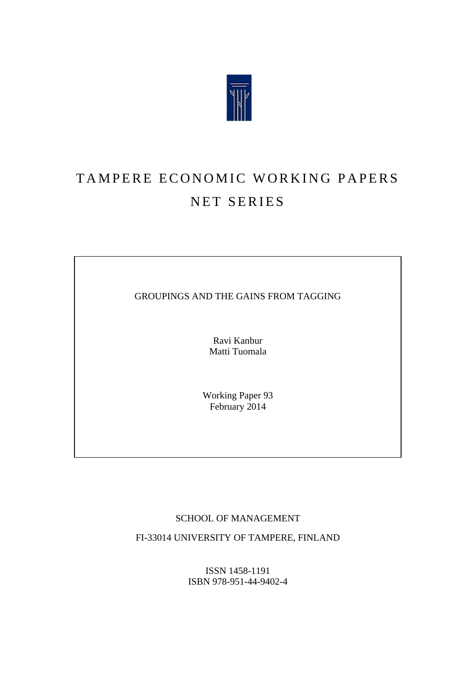

# TAMPERE ECONOMIC WORKING PAPERS NET SERIES

GROUPINGS AND THE GAINS FROM TAGGING

Ravi Kanbur Matti Tuomala

Working Paper 93 February 2014

# SCHOOL OF MANAGEMENT

FI-33014 UNIVERSITY OF TAMPERE, FINLAND

ISSN 1458-1191 ISBN 978-951-44-9402-4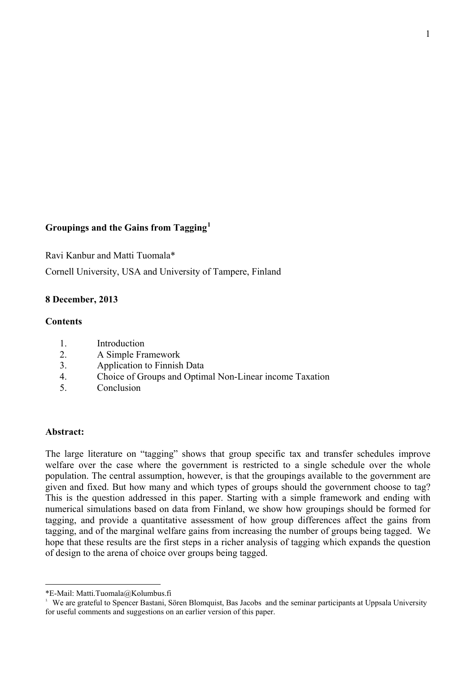# **Groupings and the Gains from Tagging[1](#page-1-0)**

Ravi Kanbur and Matti Tuomala\*

Cornell University, USA and University of Tampere, Finland

## **8 December, 2013**

#### **Contents**

- 1. Introduction
- 2. A Simple Framework
- 3. Application to Finnish Data
- 4. Choice of Groups and Optimal Non-Linear income Taxation
- 5. Conclusion

#### **Abstract:**

 $\overline{a}$ 

The large literature on "tagging" shows that group specific tax and transfer schedules improve welfare over the case where the government is restricted to a single schedule over the whole population. The central assumption, however, is that the groupings available to the government are given and fixed. But how many and which types of groups should the government choose to tag? This is the question addressed in this paper. Starting with a simple framework and ending with numerical simulations based on data from Finland, we show how groupings should be formed for tagging, and provide a quantitative assessment of how group differences affect the gains from tagging, and of the marginal welfare gains from increasing the number of groups being tagged. We hope that these results are the first steps in a richer analysis of tagging which expands the question of design to the arena of choice over groups being tagged.

<span id="page-1-0"></span><sup>\*</sup>E-Mail: Matti.Tuomala@Kolumbus.fi

<sup>&</sup>lt;sup>1</sup> We are grateful to Spencer Bastani, Sören Blomquist, Bas Jacobs and the seminar participants at Uppsala University for useful comments and suggestions on an earlier version of this paper.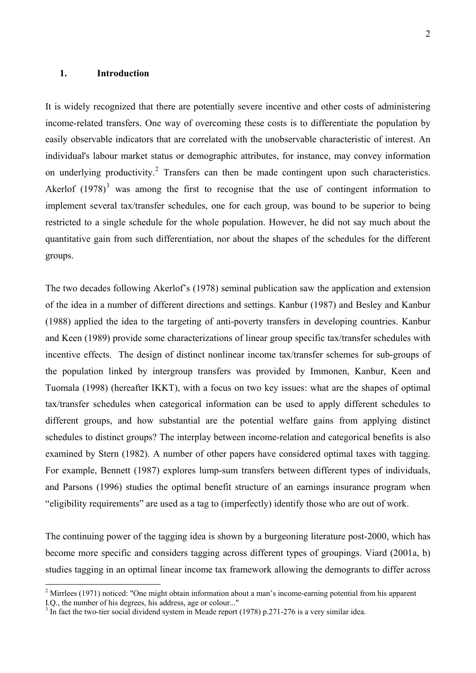## **1. Introduction**

 $\overline{a}$ 

It is widely recognized that there are potentially severe incentive and other costs of administering income-related transfers. One way of overcoming these costs is to differentiate the population by easily observable indicators that are correlated with the unobservable characteristic of interest. An individual's labour market status or demographic attributes, for instance, may convey information on underlying productivity.<sup>[2](#page-2-0)</sup> Transfers can then be made contingent upon such characteristics. Akerlof  $(1978)^3$  $(1978)^3$  was among the first to recognise that the use of contingent information to implement several tax/transfer schedules, one for each group, was bound to be superior to being restricted to a single schedule for the whole population. However, he did not say much about the quantitative gain from such differentiation, nor about the shapes of the schedules for the different groups.

The two decades following Akerlof's (1978) seminal publication saw the application and extension of the idea in a number of different directions and settings. Kanbur (1987) and Besley and Kanbur (1988) applied the idea to the targeting of anti-poverty transfers in developing countries. Kanbur and Keen (1989) provide some characterizations of linear group specific tax/transfer schedules with incentive effects. The design of distinct nonlinear income tax/transfer schemes for sub-groups of the population linked by intergroup transfers was provided by Immonen, Kanbur, Keen and Tuomala (1998) (hereafter IKKT), with a focus on two key issues: what are the shapes of optimal tax/transfer schedules when categorical information can be used to apply different schedules to different groups, and how substantial are the potential welfare gains from applying distinct schedules to distinct groups? The interplay between income-relation and categorical benefits is also examined by Stern (1982). A number of other papers have considered optimal taxes with tagging. For example, Bennett (1987) explores lump-sum transfers between different types of individuals, and Parsons (1996) studies the optimal benefit structure of an earnings insurance program when "eligibility requirements" are used as a tag to (imperfectly) identify those who are out of work.

The continuing power of the tagging idea is shown by a burgeoning literature post-2000, which has become more specific and considers tagging across different types of groupings. Viard (2001a, b) studies tagging in an optimal linear income tax framework allowing the demogrants to differ across

<span id="page-2-0"></span> $2$  Mirrlees (1971) noticed: "One might obtain information about a man's income-earning potential from his apparent I.Q., the number of his degrees, his address, age or colour..."

<span id="page-2-1"></span> $3 \text{ In fact the two-tier social dividend system in Meade report (1978) p.}$  271-276 is a very similar idea.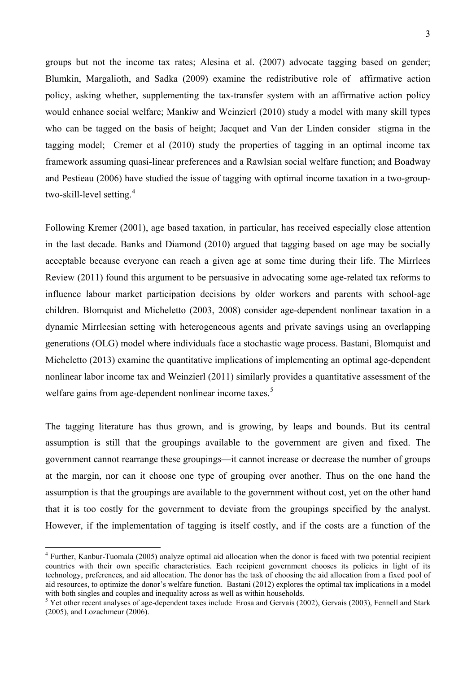groups but not the income tax rates; Alesina et al. (2007) advocate tagging based on gender; Blumkin, Margalioth, and Sadka (2009) examine the redistributive role of affirmative action policy, asking whether, supplementing the tax-transfer system with an affirmative action policy would enhance social welfare; Mankiw and Weinzierl (2010) study a model with many skill types who can be tagged on the basis of height; Jacquet and Van der Linden consider stigma in the tagging model; Cremer et al (2010) study the properties of tagging in an optimal income tax framework assuming quasi-linear preferences and a Rawlsian social welfare function; and Boadway and Pestieau (2006) have studied the issue of tagging with optimal income taxation in a two-group-two-skill-level setting.<sup>[4](#page-3-0)</sup>

Following Kremer (2001), age based taxation, in particular, has received especially close attention in the last decade. Banks and Diamond (2010) argued that tagging based on age may be socially acceptable because everyone can reach a given age at some time during their life. The Mirrlees Review (2011) found this argument to be persuasive in advocating some age-related tax reforms to influence labour market participation decisions by older workers and parents with school-age children. Blomquist and Micheletto (2003, 2008) consider age-dependent nonlinear taxation in a dynamic Mirrleesian setting with heterogeneous agents and private savings using an overlapping generations (OLG) model where individuals face a stochastic wage process. Bastani, Blomquist and Micheletto (2013) examine the quantitative implications of implementing an optimal age-dependent nonlinear labor income tax and Weinzierl (2011) similarly provides a quantitative assessment of the welfare gains from age-dependent nonlinear income taxes.<sup>[5](#page-3-1)</sup>

The tagging literature has thus grown, and is growing, by leaps and bounds. But its central assumption is still that the groupings available to the government are given and fixed. The government cannot rearrange these groupings—it cannot increase or decrease the number of groups at the margin, nor can it choose one type of grouping over another. Thus on the one hand the assumption is that the groupings are available to the government without cost, yet on the other hand that it is too costly for the government to deviate from the groupings specified by the analyst. However, if the implementation of tagging is itself costly, and if the costs are a function of the

 $\overline{a}$ 

<span id="page-3-0"></span><sup>&</sup>lt;sup>4</sup> Further, Kanbur-Tuomala (2005) analyze optimal aid allocation when the donor is faced with two potential recipient countries with their own specific characteristics. Each recipient government chooses its policies in light of its technology, preferences, and aid allocation. The donor has the task of choosing the aid allocation from a fixed pool of aid resources, to optimize the donor's welfare function. Bastani (2012) explores the optimal tax implications in a model with both singles and couples and inequality across as well as within households.

<span id="page-3-1"></span> $5$  Yet other recent analyses of age-dependent taxes include Erosa and Gervais (2002), Gervais (2003), Fennell and Stark (2005), and Lozachmeur (2006).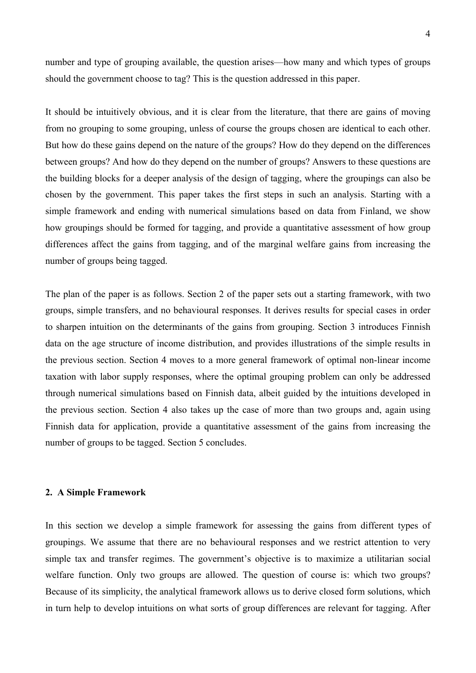number and type of grouping available, the question arises—how many and which types of groups should the government choose to tag? This is the question addressed in this paper.

It should be intuitively obvious, and it is clear from the literature, that there are gains of moving from no grouping to some grouping, unless of course the groups chosen are identical to each other. But how do these gains depend on the nature of the groups? How do they depend on the differences between groups? And how do they depend on the number of groups? Answers to these questions are the building blocks for a deeper analysis of the design of tagging, where the groupings can also be chosen by the government. This paper takes the first steps in such an analysis. Starting with a simple framework and ending with numerical simulations based on data from Finland, we show how groupings should be formed for tagging, and provide a quantitative assessment of how group differences affect the gains from tagging, and of the marginal welfare gains from increasing the number of groups being tagged.

The plan of the paper is as follows. Section 2 of the paper sets out a starting framework, with two groups, simple transfers, and no behavioural responses. It derives results for special cases in order to sharpen intuition on the determinants of the gains from grouping. Section 3 introduces Finnish data on the age structure of income distribution, and provides illustrations of the simple results in the previous section. Section 4 moves to a more general framework of optimal non-linear income taxation with labor supply responses, where the optimal grouping problem can only be addressed through numerical simulations based on Finnish data, albeit guided by the intuitions developed in the previous section. Section 4 also takes up the case of more than two groups and, again using Finnish data for application, provide a quantitative assessment of the gains from increasing the number of groups to be tagged. Section 5 concludes.

#### **2. A Simple Framework**

In this section we develop a simple framework for assessing the gains from different types of groupings. We assume that there are no behavioural responses and we restrict attention to very simple tax and transfer regimes. The government's objective is to maximize a utilitarian social welfare function. Only two groups are allowed. The question of course is: which two groups? Because of its simplicity, the analytical framework allows us to derive closed form solutions, which in turn help to develop intuitions on what sorts of group differences are relevant for tagging. After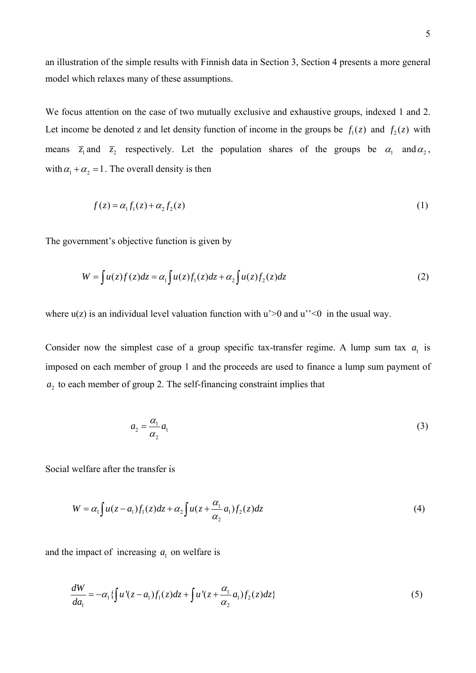an illustration of the simple results with Finnish data in Section 3, Section 4 presents a more general model which relaxes many of these assumptions.

We focus attention on the case of two mutually exclusive and exhaustive groups, indexed 1 and 2. Let income be denoted z and let density function of income in the groups be  $f_1(z)$  and  $f_2(z)$  with means  $\overline{z}_1$  and  $\overline{z}_2$  respectively. Let the population shares of the groups be  $\alpha_1$  and  $\alpha_2$ , with  $\alpha_1 + \alpha_2 = 1$ . The overall density is then

$$
f(z) = \alpha_1 f_1(z) + \alpha_2 f_2(z) \tag{1}
$$

The government's objective function is given by

$$
W = \int u(z)f(z)dz = \alpha_1 \int u(z)f_1(z)dz + \alpha_2 \int u(z)f_2(z)dz
$$
\n(2)

where  $u(z)$  is an individual level valuation function with  $u' > 0$  and  $u'' < 0$  in the usual way.

Consider now the simplest case of a group specific tax-transfer regime. A lump sum tax  $a_1$  is imposed on each member of group 1 and the proceeds are used to finance a lump sum payment of  $a_2$  to each member of group 2. The self-financing constraint implies that

$$
a_2 = \frac{\alpha_1}{\alpha_2} a_1 \tag{3}
$$

Social welfare after the transfer is

$$
W = \alpha_1 \int u(z - a_1) f_1(z) dz + \alpha_2 \int u(z + \frac{\alpha_1}{\alpha_2} a_1) f_2(z) dz \tag{4}
$$

and the impact of increasing  $a_1$  on welfare is

$$
\frac{dW}{da_1} = -\alpha_1 \{ \int u'(z - a_1) f_1(z) dz + \int u'(z + \frac{\alpha_1}{\alpha_2} a_1) f_2(z) dz \}
$$
\n(5)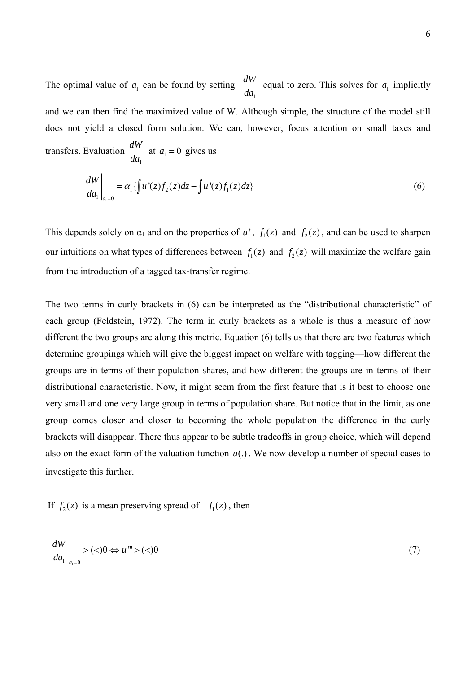The optimal value of  $a_1$  can be found by setting 1  $\frac{dW}{da_1}$  equal to zero. This solves for  $a_1$  implicitly and we can then find the maximized value of W. Although simple, the structure of the model still does not yield a closed form solution. We can, however, focus attention on small taxes and transfers. Evaluation 1 *dW*  $\frac{d^2W}{da_1}$  at  $a_1 = 0$  gives us

$$
\left. \frac{dW}{da_1} \right|_{a_1=0} = \alpha_1 \{ \int u'(z) f_2(z) dz - \int u'(z) f_1(z) dz \}
$$
\n(6)

This depends solely on  $\alpha_1$  and on the properties of *u'*,  $f_1(z)$  and  $f_2(z)$ , and can be used to sharpen our intuitions on what types of differences between  $f_1(z)$  and  $f_2(z)$  will maximize the welfare gain from the introduction of a tagged tax-transfer regime.

The two terms in curly brackets in (6) can be interpreted as the "distributional characteristic" of each group (Feldstein, 1972). The term in curly brackets as a whole is thus a measure of how different the two groups are along this metric. Equation (6) tells us that there are two features which determine groupings which will give the biggest impact on welfare with tagging—how different the groups are in terms of their population shares, and how different the groups are in terms of their distributional characteristic. Now, it might seem from the first feature that is it best to choose one very small and one very large group in terms of population share. But notice that in the limit, as one group comes closer and closer to becoming the whole population the difference in the curly brackets will disappear. There thus appear to be subtle tradeoffs in group choice, which will depend also on the exact form of the valuation function  $u(.)$ . We now develop a number of special cases to investigate this further.

If  $f_2(z)$  is a mean preserving spread of  $f_1(z)$ , then

$$
\left. \frac{dW}{da_1} \right|_{a_1=0} > (<0 \Leftrightarrow u^{\mathfrak{m}} > (<0)
$$
\n
$$
(7)
$$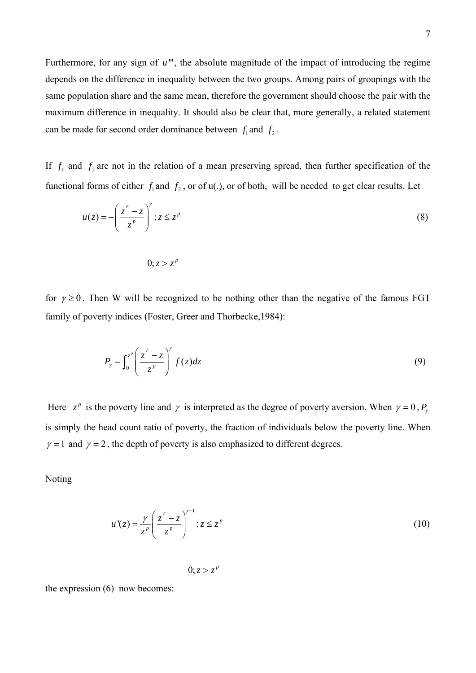Furthermore, for any sign of  $u^{\prime\prime\prime}$ , the absolute magnitude of the impact of introducing the regime depends on the difference in inequality between the two groups. Among pairs of groupings with the same population share and the same mean, therefore the government should choose the pair with the maximum difference in inequality. It should also be clear that, more generally, a related statement can be made for second order dominance between  $f_1$  and  $f_2$ .

If  $f_1$  and  $f_2$  are not in the relation of a mean preserving spread, then further specification of the functional forms of either  $f_1$  and  $f_2$ , or of u(.), or of both, will be needed to get clear results. Let

$$
u(z) = -\left(\frac{z^p - z}{z^p}\right)^r; z \le z^p
$$
 (8)

$$
0, z > z^p
$$

for  $\gamma \geq 0$ . Then W will be recognized to be nothing other than the negative of the famous FGT family of poverty indices (Foster, Greer and Thorbecke,1984):

$$
P_{\gamma} = \int_0^{z^p} \left( \frac{z^p - z}{z^p} \right)^{\gamma} f(z) dz \tag{9}
$$

Here  $z^p$  is the poverty line and  $\gamma$  is interpreted as the degree of poverty aversion. When  $\gamma = 0$ ,  $P_\gamma$ is simply the head count ratio of poverty, the fraction of individuals below the poverty line. When  $\gamma = 1$  and  $\gamma = 2$ , the depth of poverty is also emphasized to different degrees.

Noting

$$
u'(z) = \frac{\gamma}{z^p} \left( \frac{z^p - z}{z^p} \right)^{\gamma - 1}; z \le z^p
$$
 (10)

0;  $z > z^p$ 

the expression (6) now becomes: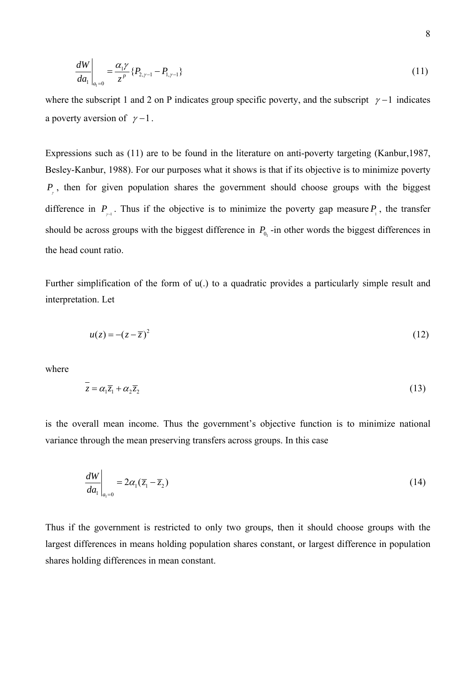$$
\left. \frac{dW}{da_1} \right|_{a_1=0} = \frac{\alpha_1 \gamma}{z^p} \{P_{2,\gamma-1} - P_{1,\gamma-1}\} \tag{11}
$$

where the subscript 1 and 2 on P indicates group specific poverty, and the subscript  $\gamma$  –1 indicates a poverty aversion of  $\gamma - 1$ .

Expressions such as (11) are to be found in the literature on anti-poverty targeting (Kanbur,1987, Besley-Kanbur, 1988). For our purposes what it shows is that if its objective is to minimize poverty *P*, then for given population shares the government should choose groups with the biggest γ difference in  $P_{\gamma^{-1}}$ . Thus if the objective is to minimize the poverty gap measure  $P_{\gamma}$ , the transfer should be across groups with the biggest difference in  $P_{0_1}$ -in other words the biggest differences in the head count ratio.

Further simplification of the form of u(.) to a quadratic provides a particularly simple result and interpretation. Let

$$
u(z) = -(z - \overline{z})^2 \tag{12}
$$

where

$$
\overline{z} = \alpha_1 \overline{z}_1 + \alpha_2 \overline{z}_2 \tag{13}
$$

is the overall mean income. Thus the government's objective function is to minimize national variance through the mean preserving transfers across groups. In this case

$$
\left. \frac{dW}{da_1} \right|_{a_1=0} = 2\alpha_1 (\overline{z}_1 - \overline{z}_2)
$$
\n(14)

Thus if the government is restricted to only two groups, then it should choose groups with the largest differences in means holding population shares constant, or largest difference in population shares holding differences in mean constant.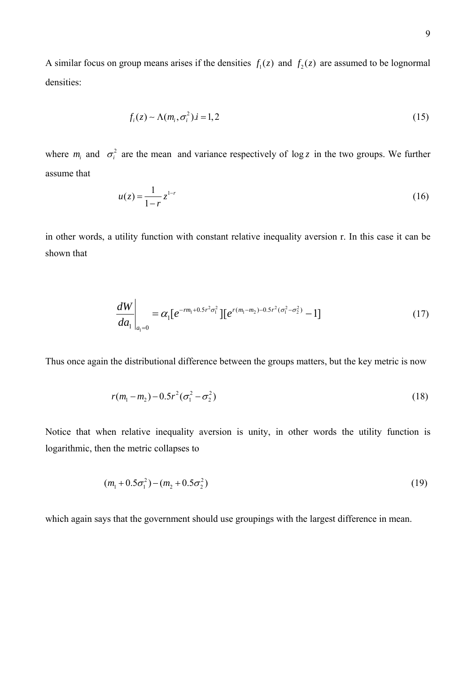A similar focus on group means arises if the densities  $f_1(z)$  and  $f_2(z)$  are assumed to be lognormal densities:

$$
f_i(z) \sim \Lambda(m_i, \sigma_i^2) . i = 1, 2
$$
\n<sup>(15)</sup>

where  $m_i$  and  $\sigma_i^2$  are the mean and variance respectively of log *z* in the two groups. We further assume that

$$
u(z) = \frac{1}{1-r} z^{1-r}
$$
 (16)

in other words, a utility function with constant relative inequality aversion r. In this case it can be shown that

$$
\frac{dW}{da_1}\bigg|_{a_1=0} = \alpha_1 [e^{-rm_1+0.5r^2\sigma_1^2}] [e^{r(m_1-m_2)-0.5r^2(\sigma_1^2-\sigma_2^2)} - 1]
$$
\n(17)

Thus once again the distributional difference between the groups matters, but the key metric is now

$$
r(m_1 - m_2) - 0.5r^2(\sigma_1^2 - \sigma_2^2)
$$
\n(18)

Notice that when relative inequality aversion is unity, in other words the utility function is logarithmic, then the metric collapses to

$$
(m_1 + 0.5\sigma_1^2) - (m_2 + 0.5\sigma_2^2) \tag{19}
$$

which again says that the government should use groupings with the largest difference in mean.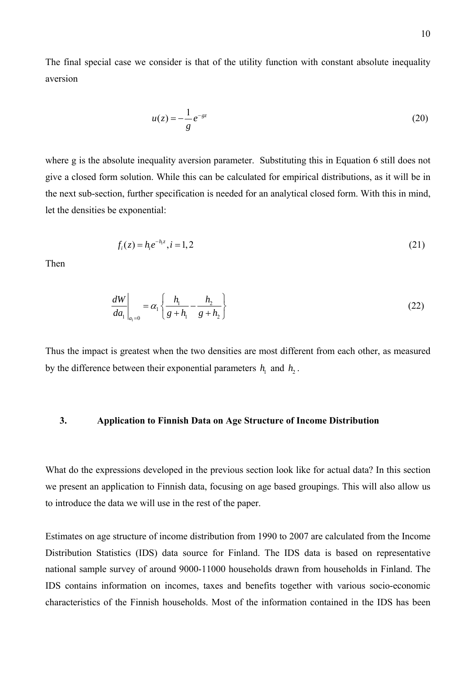The final special case we consider is that of the utility function with constant absolute inequality aversion

$$
u(z) = -\frac{1}{g}e^{-gz} \tag{20}
$$

where g is the absolute inequality aversion parameter. Substituting this in Equation 6 still does not give a closed form solution. While this can be calculated for empirical distributions, as it will be in the next sub-section, further specification is needed for an analytical closed form. With this in mind, let the densities be exponential:

$$
f_i(z) = h_i e^{-h_i z}, i = 1, 2
$$
\n(21)

Then

$$
\left. \frac{dW}{da_1} \right|_{a_1=0} = \alpha_1 \left\{ \frac{h_1}{g + h_1} - \frac{h_2}{g + h_2} \right\} \tag{22}
$$

Thus the impact is greatest when the two densities are most different from each other, as measured by the difference between their exponential parameters  $h_1$  and  $h_2$ .

# **3. Application to Finnish Data on Age Structure of Income Distribution**

What do the expressions developed in the previous section look like for actual data? In this section we present an application to Finnish data, focusing on age based groupings. This will also allow us to introduce the data we will use in the rest of the paper.

Estimates on age structure of income distribution from 1990 to 2007 are calculated from the Income Distribution Statistics (IDS) data source for Finland. The IDS data is based on representative national sample survey of around 9000-11000 households drawn from households in Finland. The IDS contains information on incomes, taxes and benefits together with various socio-economic characteristics of the Finnish households. Most of the information contained in the IDS has been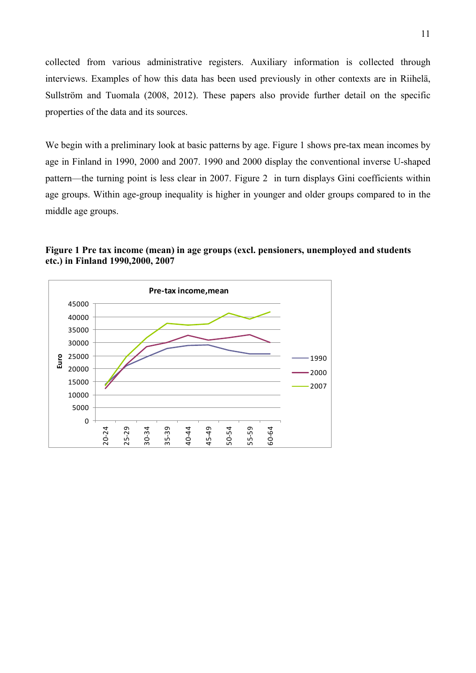collected from various administrative registers. Auxiliary information is collected through interviews. Examples of how this data has been used previously in other contexts are in Riihelä, Sullström and Tuomala (2008, 2012). These papers also provide further detail on the specific properties of the data and its sources.

We begin with a preliminary look at basic patterns by age. Figure 1 shows pre-tax mean incomes by age in Finland in 1990, 2000 and 2007. 1990 and 2000 display the conventional inverse U-shaped pattern—the turning point is less clear in 2007. Figure 2 in turn displays Gini coefficients within age groups. Within age-group inequality is higher in younger and older groups compared to in the middle age groups.



**Figure 1 Pre tax income (mean) in age groups (excl. pensioners, unemployed and students etc.) in Finland 1990,2000, 2007**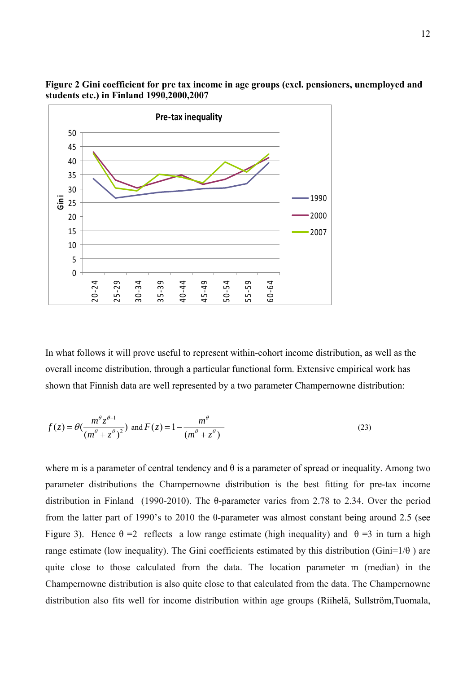

**Figure 2 Gini coefficient for pre tax income in age groups (excl. pensioners, unemployed and students etc.) in Finland 1990,2000,2007** 

In what follows it will prove useful to represent within-cohort income distribution, as well as the overall income distribution, through a particular functional form. Extensive empirical work has shown that Finnish data are well represented by a two parameter Champernowne distribution:

$$
f(z) = \theta(\frac{m^{\theta}z^{\theta-1}}{(m^{\theta} + z^{\theta})^2}) \text{ and } F(z) = 1 - \frac{m^{\theta}}{(m^{\theta} + z^{\theta})}
$$
(23)

where m is a parameter of central tendency and  $\theta$  is a parameter of spread or inequality. Among two parameter distributions the Champernowne distribution is the best fitting for pre-tax income distribution in Finland (1990-2010). The θ-parameter varies from 2.78 to 2.34. Over the period from the latter part of 1990's to 2010 the  $\theta$ -parameter was almost constant being around 2.5 (see Figure 3). Hence  $\theta = 2$  reflects a low range estimate (high inequality) and  $\theta = 3$  in turn a high range estimate (low inequality). The Gini coefficients estimated by this distribution (Gini= $1/\theta$ ) are quite close to those calculated from the data. The location parameter m (median) in the Champernowne distribution is also quite close to that calculated from the data. The Champernowne distribution also fits well for income distribution within age groups (Riihelä, Sullström,Tuomala,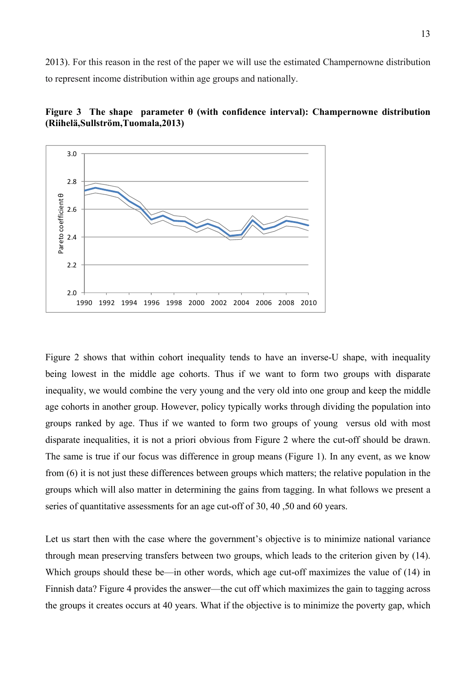2013). For this reason in the rest of the paper we will use the estimated Champernowne distribution to represent income distribution within age groups and nationally.





Figure 2 shows that within cohort inequality tends to have an inverse-U shape, with inequality being lowest in the middle age cohorts. Thus if we want to form two groups with disparate inequality, we would combine the very young and the very old into one group and keep the middle age cohorts in another group. However, policy typically works through dividing the population into groups ranked by age. Thus if we wanted to form two groups of young versus old with most disparate inequalities, it is not a priori obvious from Figure 2 where the cut-off should be drawn. The same is true if our focus was difference in group means (Figure 1). In any event, as we know from (6) it is not just these differences between groups which matters; the relative population in the groups which will also matter in determining the gains from tagging. In what follows we present a series of quantitative assessments for an age cut-off of 30, 40 ,50 and 60 years.

Let us start then with the case where the government's objective is to minimize national variance through mean preserving transfers between two groups, which leads to the criterion given by (14). Which groups should these be—in other words, which age cut-off maximizes the value of (14) in Finnish data? Figure 4 provides the answer—the cut off which maximizes the gain to tagging across the groups it creates occurs at 40 years. What if the objective is to minimize the poverty gap, which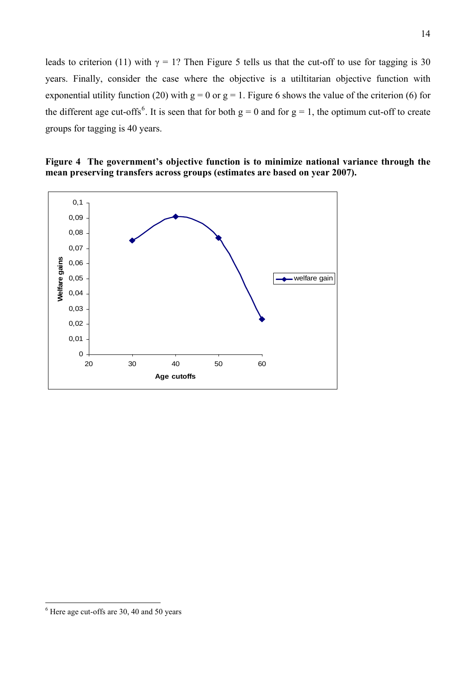leads to criterion (11) with  $\gamma = 1$ ? Then Figure 5 tells us that the cut-off to use for tagging is 30 years. Finally, consider the case where the objective is a utiltitarian objective function with exponential utility function (20) with  $g = 0$  or  $g = 1$ . Figure 6 shows the value of the criterion (6) for the different age cut-offs<sup>[6](#page-14-0)</sup>. It is seen that for both  $g = 0$  and for  $g = 1$ , the optimum cut-off to create groups for tagging is 40 years.

# **Figure 4 The government's objective function is to minimize national variance through the mean preserving transfers across groups (estimates are based on year 2007).**



 $\overline{a}$ 

<sup>14</sup>

<span id="page-14-0"></span><sup>&</sup>lt;sup>6</sup> Here age cut-offs are 30, 40 and 50 years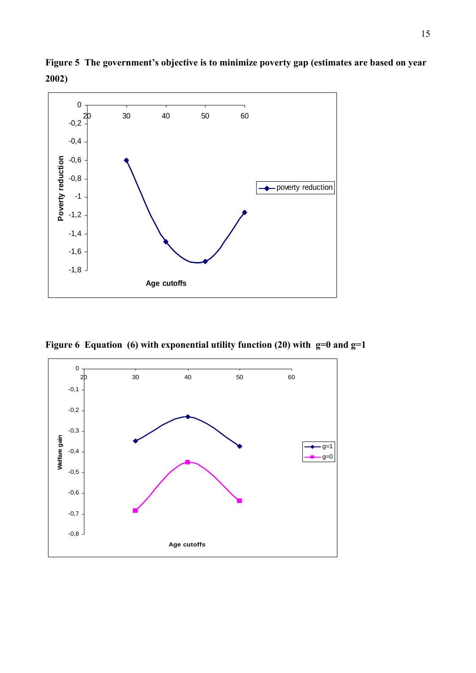

**Figure 5 The government's objective is to minimize poverty gap (estimates are based on year 2002)** 

**Figure 6 Equation (6) with exponential utility function (20) with g=0 and g=1** 

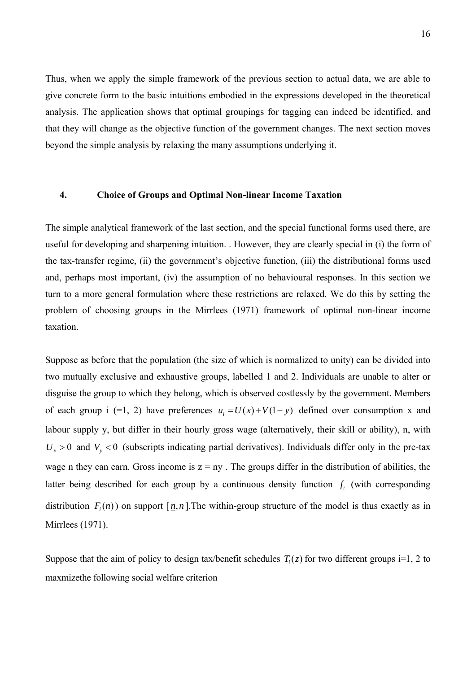Thus, when we apply the simple framework of the previous section to actual data, we are able to give concrete form to the basic intuitions embodied in the expressions developed in the theoretical analysis. The application shows that optimal groupings for tagging can indeed be identified, and that they will change as the objective function of the government changes. The next section moves beyond the simple analysis by relaxing the many assumptions underlying it.

## **4. Choice of Groups and Optimal Non-linear Income Taxation**

The simple analytical framework of the last section, and the special functional forms used there, are useful for developing and sharpening intuition. . However, they are clearly special in (i) the form of the tax-transfer regime, (ii) the government's objective function, (iii) the distributional forms used and, perhaps most important, (iv) the assumption of no behavioural responses. In this section we turn to a more general formulation where these restrictions are relaxed. We do this by setting the problem of choosing groups in the Mirrlees (1971) framework of optimal non-linear income taxation.

Suppose as before that the population (the size of which is normalized to unity) can be divided into two mutually exclusive and exhaustive groups, labelled 1 and 2. Individuals are unable to alter or disguise the group to which they belong, which is observed costlessly by the government. Members of each group i (=1, 2) have preferences  $u_i = U(x) + V(1 - y)$  defined over consumption x and labour supply y, but differ in their hourly gross wage (alternatively, their skill or ability), n, with  $U_x > 0$  and  $V_y < 0$  (subscripts indicating partial derivatives). Individuals differ only in the pre-tax wage n they can earn. Gross income is  $z = nv$ . The groups differ in the distribution of abilities, the latter being described for each group by a continuous density function  $f_i$  (with corresponding distribution  $F_n(n)$  on support  $\lceil n, n \rceil$ . The within-group structure of the model is thus exactly as in Mirrlees (1971).

Suppose that the aim of policy to design tax/benefit schedules  $T_i(z)$  for two different groups i=1, 2 to maxmizethe following social welfare criterion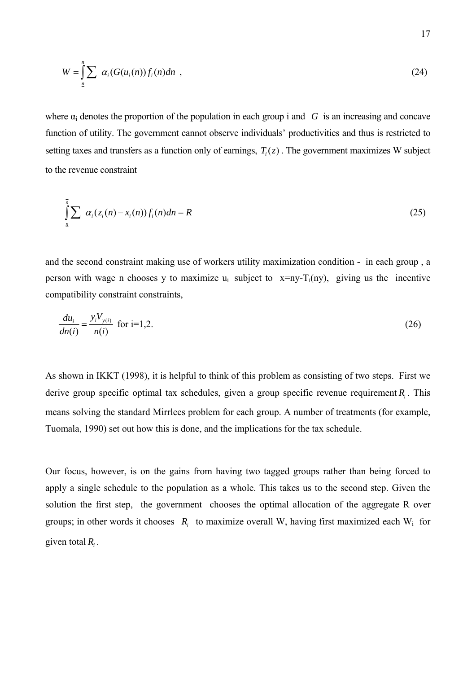$$
W = \int_{\underline{n}}^{\overline{n}} \sum_{i} \alpha_i (G(u_i(n)) f_i(n) dn \quad , \tag{24}
$$

where  $\alpha_i$  denotes the proportion of the population in each group i and *G* is an increasing and concave function of utility. The government cannot observe individuals' productivities and thus is restricted to setting taxes and transfers as a function only of earnings,  $T_i(z)$ . The government maximizes W subject to the revenue constraint

$$
\int_{\underline{n}}^{\underline{n}} \sum \alpha_i (z_i(n) - x_i(n)) f_i(n) dn = R \tag{25}
$$

and the second constraint making use of workers utility maximization condition - in each group , a person with wage n chooses y to maximize  $u_i$  subject to  $x=ny-T_i(ny)$ , giving us the incentive compatibility constraint constraints,

$$
\frac{du_i}{dn(i)} = \frac{y_i V_{y(i)}}{n(i)}
$$
 for i=1,2. (26)

As shown in IKKT (1998), it is helpful to think of this problem as consisting of two steps. First we derive group specific optimal tax schedules, given a group specific revenue requirement  $R_i$ . This means solving the standard Mirrlees problem for each group. A number of treatments (for example, Tuomala, 1990) set out how this is done, and the implications for the tax schedule.

Our focus, however, is on the gains from having two tagged groups rather than being forced to apply a single schedule to the population as a whole. This takes us to the second step. Given the solution the first step, the government chooses the optimal allocation of the aggregate R over groups; in other words it chooses *Ri* to maximize overall W, having first maximized each Wi for given total  $R_i$ .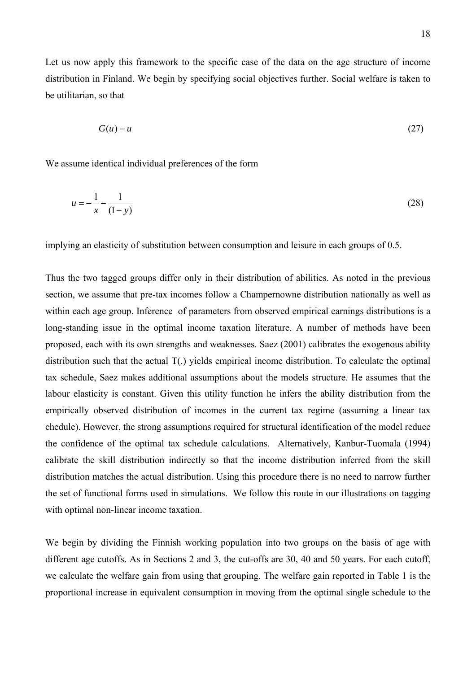Let us now apply this framework to the specific case of the data on the age structure of income distribution in Finland. We begin by specifying social objectives further. Social welfare is taken to be utilitarian, so that

$$
G(u) = u \tag{27}
$$

We assume identical individual preferences of the form

$$
u = -\frac{1}{x} - \frac{1}{(1-y)}
$$
(28)

implying an elasticity of substitution between consumption and leisure in each groups of 0.5.

Thus the two tagged groups differ only in their distribution of abilities. As noted in the previous section, we assume that pre-tax incomes follow a Champernowne distribution nationally as well as within each age group. Inference of parameters from observed empirical earnings distributions is a long-standing issue in the optimal income taxation literature. A number of methods have been proposed, each with its own strengths and weaknesses. Saez (2001) calibrates the exogenous ability distribution such that the actual T(.) yields empirical income distribution. To calculate the optimal tax schedule, Saez makes additional assumptions about the models structure. He assumes that the labour elasticity is constant. Given this utility function he infers the ability distribution from the empirically observed distribution of incomes in the current tax regime (assuming a linear tax chedule). However, the strong assumptions required for structural identification of the model reduce the confidence of the optimal tax schedule calculations. Alternatively, Kanbur-Tuomala (1994) calibrate the skill distribution indirectly so that the income distribution inferred from the skill distribution matches the actual distribution. Using this procedure there is no need to narrow further the set of functional forms used in simulations. We follow this route in our illustrations on tagging with optimal non-linear income taxation.

We begin by dividing the Finnish working population into two groups on the basis of age with different age cutoffs. As in Sections 2 and 3, the cut-offs are 30, 40 and 50 years. For each cutoff, we calculate the welfare gain from using that grouping. The welfare gain reported in Table 1 is the proportional increase in equivalent consumption in moving from the optimal single schedule to the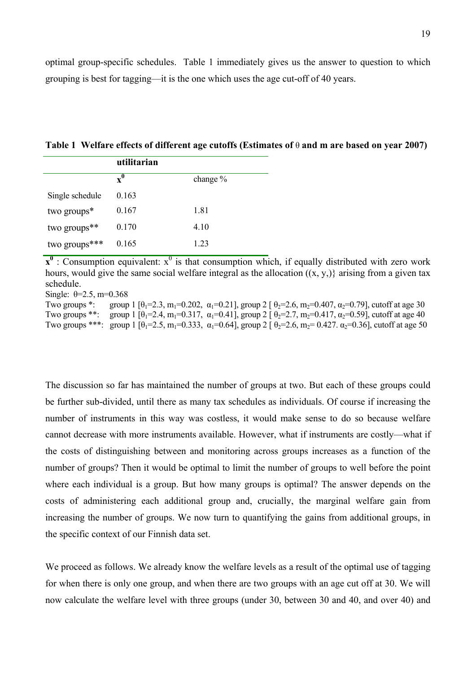| Table 1 Welfare effects of different age cutoffs (Estimates of $\theta$ and m are based on year 2007) |  |  |  |
|-------------------------------------------------------------------------------------------------------|--|--|--|
| utilitawian                                                                                           |  |  |  |

|                 | utmitai läh    |            |
|-----------------|----------------|------------|
|                 | $\mathbf{x}^0$ | change $%$ |
| Single schedule | 0.163          |            |
| two groups*     | 0.167          | 1.81       |
| two groups**    | 0.170          | 4.10       |
| two groups***   | 0.165          | 1.23       |
|                 |                |            |

 $x^0$ : Consumption equivalent:  $x^0$  is that consumption which, if equally distributed with zero work hours, would give the same social welfare integral as the allocation  $((x, y,))$  arising from a given tax schedule.

Single:  $\theta = 2.5$ , m=0.368

Two groups \*: group 1  $[\theta_1 = 2.3, m_1 = 0.202, \alpha_1 = 0.21]$ , group 2  $[\theta_2 = 2.6, m_2 = 0.407, \alpha_2 = 0.79]$ , cutoff at age 30 Two groups \*\*: group 1  $\lceil \theta_1 = 2.4, m_1 = 0.317, \alpha_1 = 0.41 \rceil$ , group 2  $\lceil \theta_2 = 2.7, m_2 = 0.417, \alpha_2 = 0.59 \rceil$ , cutoff at age 40 Two groups \*\*\*: group 1  $[\theta_1 = 2.5, m_1 = 0.333, \alpha_1 = 0.64]$ , group 2  $[\theta_2 = 2.6, m_2 = 0.427, \alpha_2 = 0.36]$ , cutoff at age 50

The discussion so far has maintained the number of groups at two. But each of these groups could be further sub-divided, until there as many tax schedules as individuals. Of course if increasing the number of instruments in this way was costless, it would make sense to do so because welfare cannot decrease with more instruments available. However, what if instruments are costly—what if the costs of distinguishing between and monitoring across groups increases as a function of the number of groups? Then it would be optimal to limit the number of groups to well before the point where each individual is a group. But how many groups is optimal? The answer depends on the costs of administering each additional group and, crucially, the marginal welfare gain from increasing the number of groups. We now turn to quantifying the gains from additional groups, in the specific context of our Finnish data set.

We proceed as follows. We already know the welfare levels as a result of the optimal use of tagging for when there is only one group, and when there are two groups with an age cut off at 30. We will now calculate the welfare level with three groups (under 30, between 30 and 40, and over 40) and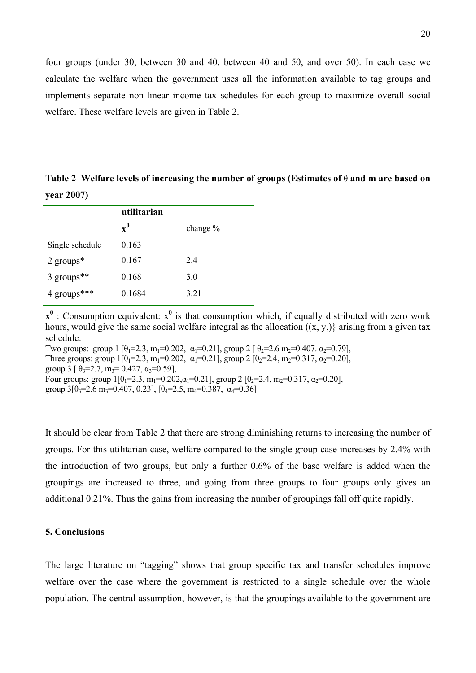four groups (under 30, between 30 and 40, between 40 and 50, and over 50). In each case we calculate the welfare when the government uses all the information available to tag groups and implements separate non-linear income tax schedules for each group to maximize overall social welfare. These welfare levels are given in Table 2.

**Table 2 Welfare levels of increasing the number of groups (Estimates of** θ **and m are based on year 2007)**

|                        | utilitarian    |            |
|------------------------|----------------|------------|
|                        | $\mathbf{x}^0$ | change $%$ |
| Single schedule        | 0.163          |            |
| 2 groups $*$           | 0.167          | 2.4        |
| 3 groups <sup>**</sup> | 0.168          | 3.0        |
| 4 groups***            | 0.1684         | 3.21       |

 $x^0$ : Consumption equivalent:  $x^0$  is that consumption which, if equally distributed with zero work hours, would give the same social welfare integral as the allocation  $((x, y,))$  arising from a given tax schedule.

Two groups: group 1  $[\theta_0 = 2.3, m_1 = 0.202, \alpha_1 = 0.21]$ , group 2  $[\theta_0 = 2.6 \text{ m}_2 = 0.407, \alpha_2 = 0.79]$ . Three groups: group  $1\left[\theta_1=2.3, m_1=0.202, \alpha_1=0.21\right]$ , group  $2\left[\theta_2=2.4, m_2=0.317, \alpha_2=0.20\right]$ , group 3  $\left[ \theta_3 = 2.7, \mu_3 = 0.427, \alpha_3 = 0.59 \right]$ , Four groups: group  $1\left[\theta_1 = 2.3, m_1 = 0.202, \alpha_1 = 0.21\right]$ , group  $2\left[\theta_2 = 2.4, m_2 = 0.317, \alpha_2 = 0.20\right]$ , group  $3\left[\theta_3=2.6 \text{ m}_3=0.407, 0.23\right]$ ,  $\left[\theta_4=2.5, \text{ m}_4=0.387, \text{ }\alpha_4=0.36\right]$ 

It should be clear from Table 2 that there are strong diminishing returns to increasing the number of groups. For this utilitarian case, welfare compared to the single group case increases by 2.4% with the introduction of two groups, but only a further 0.6% of the base welfare is added when the groupings are increased to three, and going from three groups to four groups only gives an additional 0.21%. Thus the gains from increasing the number of groupings fall off quite rapidly.

#### **5. Conclusions**

The large literature on "tagging" shows that group specific tax and transfer schedules improve welfare over the case where the government is restricted to a single schedule over the whole population. The central assumption, however, is that the groupings available to the government are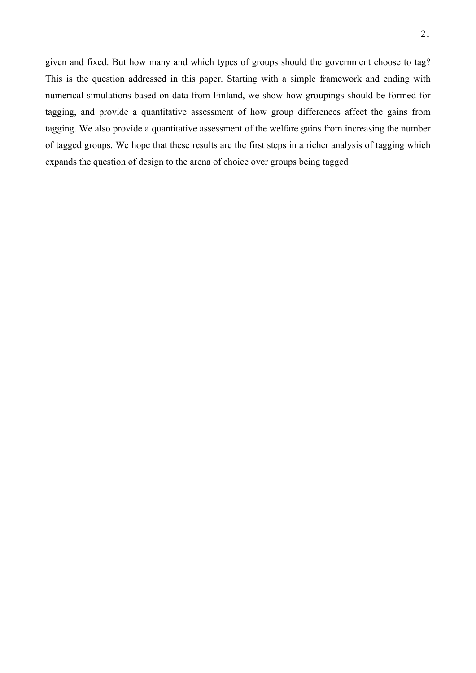given and fixed. But how many and which types of groups should the government choose to tag? This is the question addressed in this paper. Starting with a simple framework and ending with numerical simulations based on data from Finland, we show how groupings should be formed for tagging, and provide a quantitative assessment of how group differences affect the gains from tagging. We also provide a quantitative assessment of the welfare gains from increasing the number of tagged groups. We hope that these results are the first steps in a richer analysis of tagging which expands the question of design to the arena of choice over groups being tagged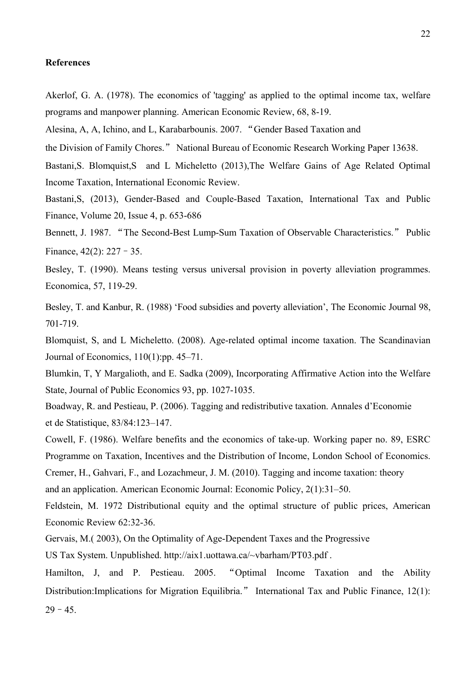#### **References**

Akerlof, G. A. (1978). The economics of 'tagging' as applied to the optimal income tax, welfare programs and manpower planning. American Economic Review, 68, 8-19.

Alesina, A, A, Ichino, and L, Karabarbounis. 2007. "Gender Based Taxation and

the Division of Family Chores." National Bureau of Economic Research Working Paper 13638.

Bastani,S. Blomquist,S and L Micheletto (2013),The Welfare Gains of Age Related Optimal Income Taxation, International Economic Review.

Bastani,S, (2013), Gender-Based and Couple-Based Taxation, International Tax and Public Finance, Volume 20, Issue 4, p. 653-686

Bennett, J. 1987. "The Second-Best Lump-Sum Taxation of Observable Characteristics." Public Finance,  $42(2)$ :  $227 - 35$ .

Besley, T. (1990). Means testing versus universal provision in poverty alleviation programmes. Economica, 57, 119-29.

Besley, T. and Kanbur, R. (1988) 'Food subsidies and poverty alleviation', The Economic Journal 98, 701-719.

Blomquist, S, and L Micheletto. (2008). Age-related optimal income taxation. The Scandinavian Journal of Economics, 110(1):pp. 45–71.

Blumkin, T, Y Margalioth, and E. Sadka (2009), Incorporating Affirmative Action into the Welfare State, Journal of Public Economics 93, pp. 1027-1035.

Boadway, R. and Pestieau, P. (2006). Tagging and redistributive taxation. Annales d'Economie et de Statistique, 83/84:123–147.

Cowell, F. (1986). Welfare benefits and the economics of take-up. Working paper no. 89, ESRC Programme on Taxation, Incentives and the Distribution of Income, London School of Economics.

Cremer, H., Gahvari, F., and Lozachmeur, J. M. (2010). Tagging and income taxation: theory and an application. American Economic Journal: Economic Policy, 2(1):31–50.

Feldstein, M. 1972 Distributional equity and the optimal structure of public prices, American Economic Review 62:32-36.

Gervais, M.( 2003), On the Optimality of Age-Dependent Taxes and the Progressive

US Tax System. Unpublished. http://aix1.uottawa.ca/~vbarham/PT03.pdf .

Hamilton, J, and P. Pestieau. 2005. "Optimal Income Taxation and the Ability Distribution:Implications for Migration Equilibria." International Tax and Public Finance, 12(1):  $29 - 45.$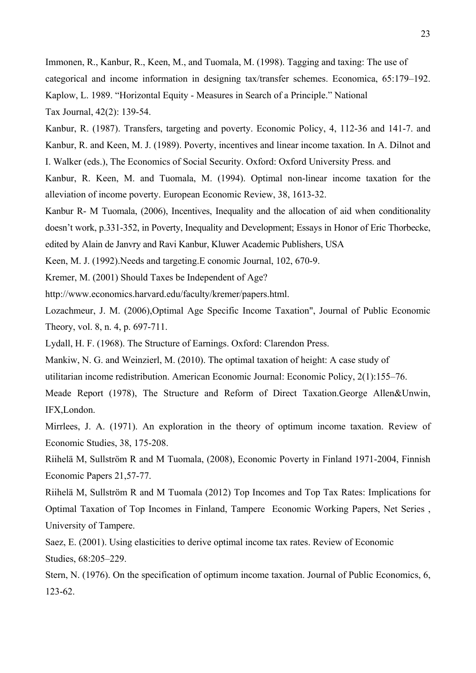Immonen, R., Kanbur, R., Keen, M., and Tuomala, M. (1998). Tagging and taxing: The use of categorical and income information in designing tax/transfer schemes. Economica, 65:179–192. Kaplow, L. 1989. "Horizontal Equity - Measures in Search of a Principle." National Tax Journal, 42(2): 139-54.

Kanbur, R. (1987). Transfers, targeting and poverty. Economic Policy, 4, 112-36 and 141-7. and Kanbur, R. and Keen, M. J. (1989). Poverty, incentives and linear income taxation. In A. Dilnot and I. Walker (eds.), The Economics of Social Security. Oxford: Oxford University Press. and

Kanbur, R. Keen, M. and Tuomala, M. (1994). Optimal non-linear income taxation for the alleviation of income poverty. European Economic Review, 38, 1613-32.

Kanbur R- M Tuomala, (2006), Incentives, Inequality and the allocation of aid when conditionality doesn't work, p.331-352, in Poverty, Inequality and Development; Essays in Honor of Eric Thorbecke,

edited by Alain de Janvry and Ravi Kanbur, Kluwer Academic Publishers, USA

Keen, M. J. (1992).Needs and targeting.E conomic Journal, 102, 670-9.

Kremer, M. (2001) Should Taxes be Independent of Age?

http://www.economics.harvard.edu/faculty/kremer/papers.html.

Lozachmeur, J. M. (2006)[,Optimal Age Specific Income Taxation",](http://idei.fr/display.php?a=6648) [Journal of Public Economic](http://idei.fr/display.php?a=362)  [Theory](http://idei.fr/display.php?a=362), vol. 8, n. 4, p. 697-711.

Lydall, H. F. (1968). The Structure of Earnings. Oxford: Clarendon Press.

Mankiw, N. G. and Weinzierl, M. (2010). The optimal taxation of height: A case study of

utilitarian income redistribution. American Economic Journal: Economic Policy, 2(1):155–76.

Meade Report (1978), The Structure and Reform of Direct Taxation.George Allen&Unwin, IFX,London.

Mirrlees, J. A. (1971). An exploration in the theory of optimum income taxation. Review of Economic Studies, 38, 175-208.

Riihelä M, Sullström R and M Tuomala, (2008), Economic Poverty in Finland 1971-2004, Finnish Economic Papers 21,57-77.

Riihelä M, Sullström R and M Tuomala (2012) Top Incomes and Top Tax Rates: Implications for Optimal Taxation of Top Incomes in Finland, Tampere Economic Working Papers, Net Series , University of Tampere.

Saez, E. (2001). Using elasticities to derive optimal income tax rates. Review of Economic Studies, 68:205–229.

Stern, N. (1976). On the specification of optimum income taxation. Journal of Public Economics, 6, 123-62.